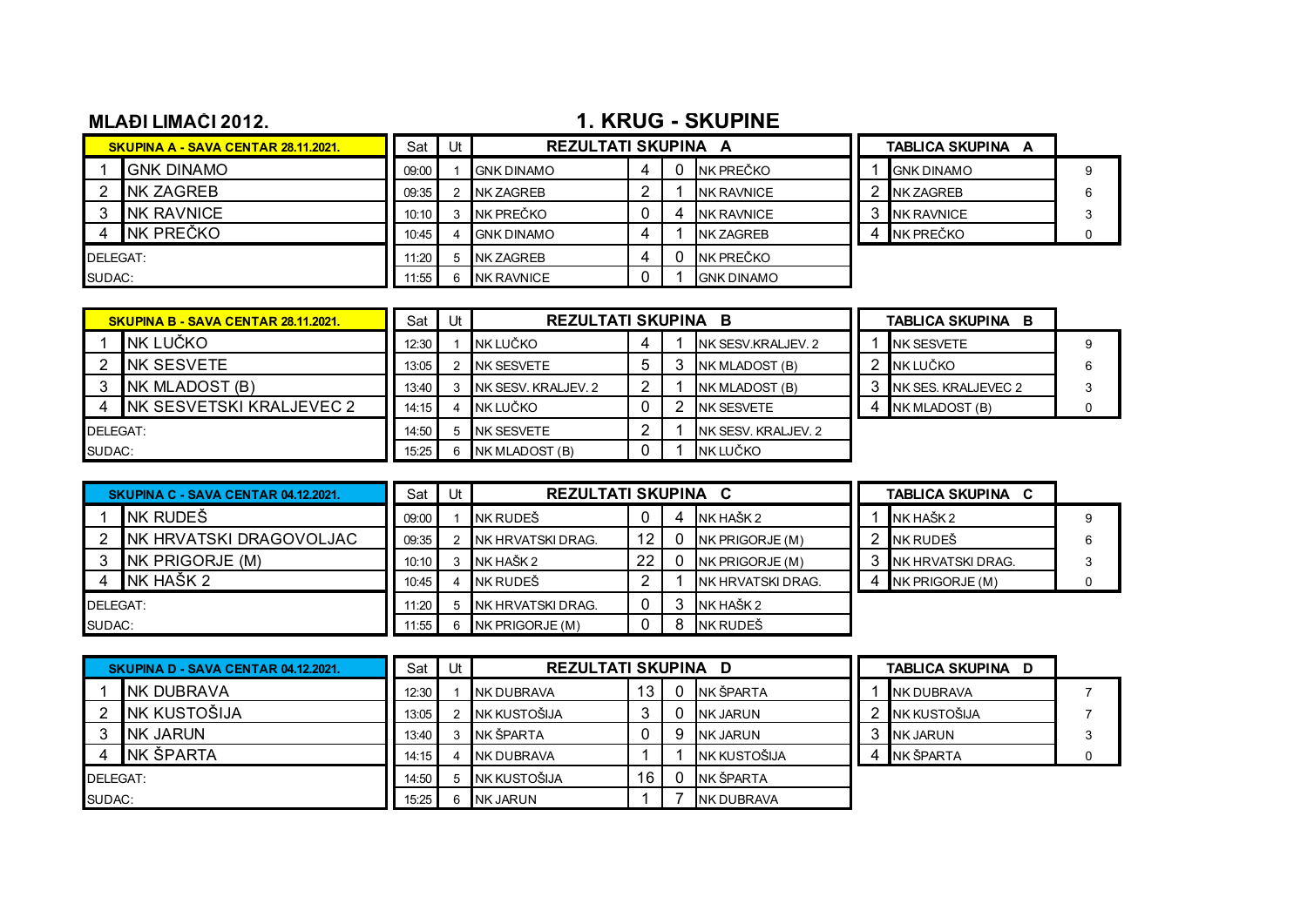## **MLAĐI LIMAČI 2012.** 2012. 2012. 2013. 2014. 2022. 2014. 2022. 2023. 2023. 2023. 2023. 2023. 2023. 2023. 2023. 2023. 2023. 2023. 2023. 2023. 2023. 2023. 2023. 2023. 2023. 2023. 2023. 2023. 2023. 2023. 2023. 2023. 2023. 202

|          | <b>SKUPINA A - SAVA CENTAR 28.11.2021.</b> | Sat   | Ut | <b>REZULTATI SKUPINA A</b> |  |                   | TABLICA SKUPINA A |                   |  |
|----------|--------------------------------------------|-------|----|----------------------------|--|-------------------|-------------------|-------------------|--|
|          | <b>GNK DINAMO</b>                          | 09:00 |    | <b>GNK DINAMO</b>          |  | NK PREČKO         |                   | <b>GNK DINAMO</b> |  |
|          | <b>NK ZAGREB</b>                           | 09:35 |    | <b>NK ZAGREB</b>           |  | <b>NK RAVNICE</b> |                   | <b>NK ZAGREB</b>  |  |
|          | <b>NK RAVNICE</b>                          | 10:10 |    | NK PREČKO                  |  | <b>NK RAVNICE</b> |                   | <b>NK RAVNICE</b> |  |
|          | INK PREČKO                                 | 10.45 |    | <b>IGNK DINAMO</b>         |  | <b>NK ZAGREB</b>  |                   | INK PREČKO        |  |
| DELEGAT: |                                            | 11:20 |    | <b>NK ZAGREB</b>           |  | NK PREČKO         |                   |                   |  |
| SUDAC:   |                                            | 1.55  |    | <b>NK RAVNICE</b>          |  | <b>GNK DINAMO</b> |                   |                   |  |

|          | <b>SKUPINA B - SAVA CENTAR 28.11.2021.</b> |       | Jt | <b>REZULTATI SKUPINA</b> |  | <b>TABLICA SKUPINA</b> |  |                      |  |
|----------|--------------------------------------------|-------|----|--------------------------|--|------------------------|--|----------------------|--|
|          | NK LUČKO                                   | 12:30 |    | NK LUČKO                 |  | NK SESV.KRALJEV. 2     |  | <b>NK SESVETE</b>    |  |
|          | INK SESVETE                                | 13:05 |    | <b>INK SESVETE</b>       |  | NK MLADOST (B)         |  | NK LUČKO             |  |
|          | NK MLADOST (B)                             | 13:40 |    | INK SESV. KRALJEV. 2     |  | NK MLADOST (B)         |  | INK SES. KRALJEVEC 2 |  |
|          | NK SESVETSKI KRALJEVEC 2                   | 14:15 |    | NK LUČKO                 |  | <b>INK SESVETE</b>     |  | NK MLADOST (B)       |  |
| DELEGAT: |                                            | 14:50 |    | INK SESVETE              |  | NK SESV. KRALJEV. 2    |  |                      |  |
| SUDAC:   |                                            | 15:25 |    | NK MLADOST (B)           |  | NK LUČKO               |  |                      |  |

|        | SKUPINA C - SAVA CENTAR 04.12.2021. |       | Ut | <b>REZULTATI SKUPINA</b> |    | <b>C</b>           | <b>TABLICA SKUPINA</b> |                   |  |
|--------|-------------------------------------|-------|----|--------------------------|----|--------------------|------------------------|-------------------|--|
|        | NK RUDEŠ                            | 09:00 |    | INK RUDEŠ                |    | NK HAŠK 2          |                        | NK HAŠK 2         |  |
|        | NK HRVATSKI DRAGOVOLJAC             | 09:35 |    | NK HRVATSKI DRAG.        |    | INK PRIGORJE (M)   |                        | NK RUDEŠ          |  |
|        | NK PRIGORJE (M)                     | 10:10 |    | NK HAŠK 2                | 22 | INK PRIGORJE (M)   |                        | NK HRVATSKI DRAG. |  |
|        | NK HAŠK 2                           | 10:45 |    | INK RUDEŠ                |    | INK HRVATSKI DRAG. |                        | NK PRIGORJE (M)   |  |
|        | DELEGAT:                            |       |    | <b>NK HRVATSKI DRAG.</b> | 0  | NK HAŠK 2          |                        |                   |  |
| SUDAC: |                                     | 11.55 |    | NK PRIGORJE(M)           |    | NK RUDEŠ           |                        |                   |  |

|          | SKUPINA D - SAVA CENTAR 04.12.2021. |       | Jt | <b>REZULTATI SKUPINA D</b> |                 |   |                   |  | TABLICA SKUPINA D |  |  |
|----------|-------------------------------------|-------|----|----------------------------|-----------------|---|-------------------|--|-------------------|--|--|
|          | INK DUBRAVA                         | 12:30 |    | <b>NK DUBRAVA</b>          | 13 <sup>1</sup> |   | NK ŠPARTA         |  | <b>NK DUBRAVA</b> |  |  |
|          | <b>NK KUSTOŠIJA</b>                 | 13:05 |    | NK KUSTOŠIJA               |                 |   | <b>INK JARUN</b>  |  | NK KUSTOŠIJA      |  |  |
|          | <b>INK JARUN</b>                    | 13:40 |    | NK ŠPARTA                  |                 | 9 | <b>NK JARUN</b>   |  | <b>NK JARUN</b>   |  |  |
|          | INK ŠPARTA                          | 14:15 |    | INK DUBRAVA                |                 |   | NK KUSTOŠIJA      |  | NK ŠPARTA         |  |  |
| DELEGAT: |                                     | 14:50 |    | NK KUSTOŠIJA               | 16              |   | NK ŠPARTA         |  |                   |  |  |
| SUDAC:   |                                     | 15:25 |    | NK JARUN                   |                 |   | <b>NK DUBRAVA</b> |  |                   |  |  |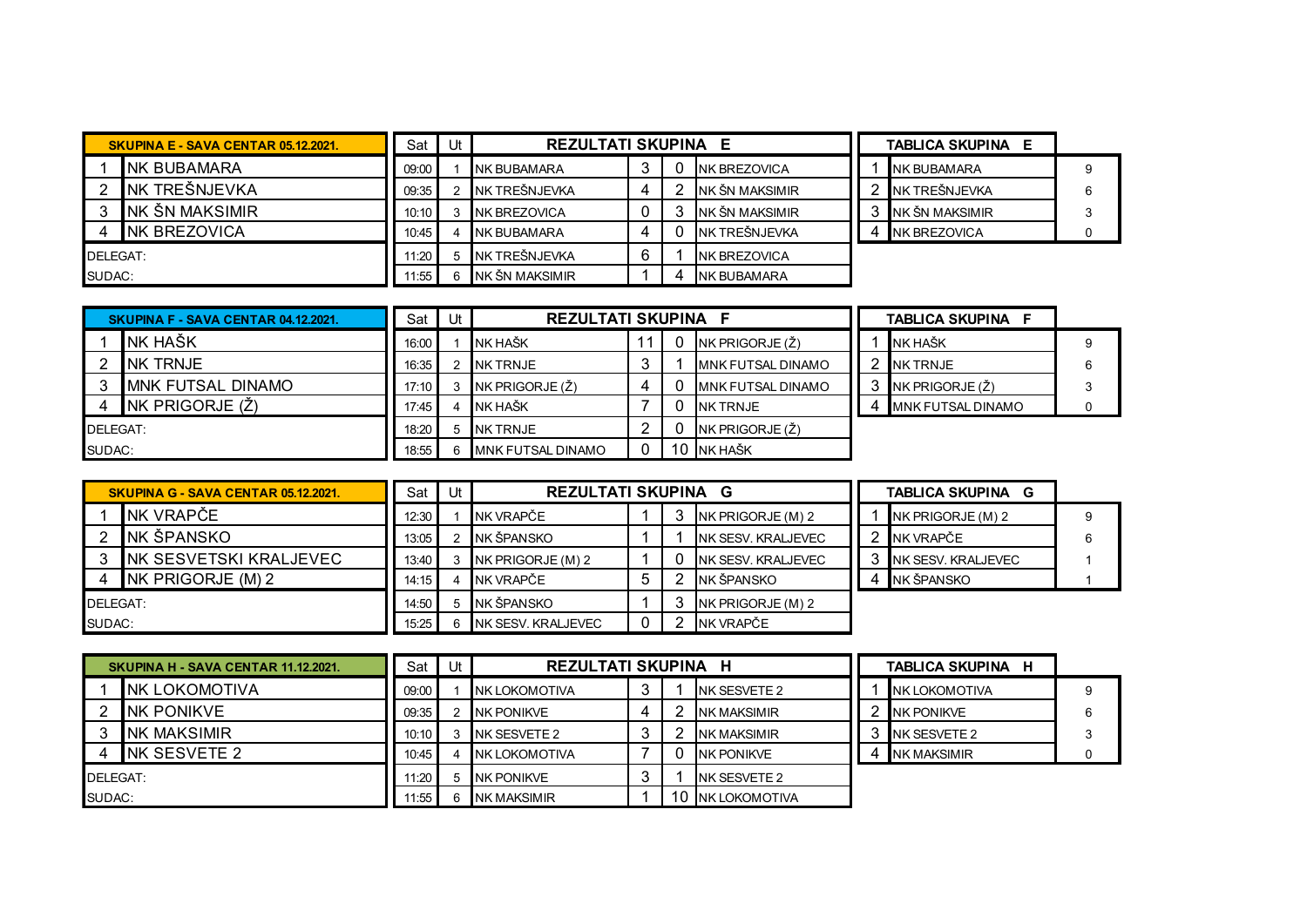|          | SKUPINA E - SAVA CENTAR 05.12.2021. |       | Ut | <b>REZULTATI SKUPINA</b> |   |  |                      | <b>TABLICA SKUPINA</b><br>E |  |
|----------|-------------------------------------|-------|----|--------------------------|---|--|----------------------|-----------------------------|--|
|          | INK BUBAMARA                        | 09:00 |    | INK BUBAMARA             | ື |  | <b>NK BREZOVICA</b>  | <b>NK BUBAMARA</b>          |  |
|          | INK TREŠNJEVKA                      | 09:35 |    | NK TREŠNJEVKA            | 4 |  | INK ŠN MAKSIMIR      | INK TREŠNJEVKA              |  |
|          | INK ŠN MAKSIMIR                     | 10:10 |    | NK BREZOVICA             |   |  | NK ŠN MAKSIMIR       | INK ŠN MAKSIMIR             |  |
|          | <b>INK BREZOVICA</b>                | 10:45 |    | <b>INK BUBAMARA</b>      | 4 |  | INK TREŠNJEVKA       | <b>NK BREZOVICA</b>         |  |
| DELEGAT: |                                     | 11:20 |    | NK TREŠNJEVKA            | 6 |  | <b>INK BREZOVICA</b> |                             |  |
| SUDAC:   |                                     | 11:55 |    | <b>INK ŠN MAKSIMIR</b>   |   |  | <b>INK BUBAMARA</b>  |                             |  |

|          | SKUPINA F - SAVA CENTAR 04.12.2021. |       | Ut | <b>REZULTATI SKUPINA F</b> |  |  |                           |  | <b>TABLICA SKUPINA F</b> |  |
|----------|-------------------------------------|-------|----|----------------------------|--|--|---------------------------|--|--------------------------|--|
|          | <b>NK HAŠK</b>                      | 16:00 |    | <b>INK HAŠK</b>            |  |  | NK PRIGORJE (Ž)           |  | <b>NK HAŠK</b>           |  |
|          | INK TRNJE                           | 16:35 |    | <b>INK TRNJE</b>           |  |  | <b>IMNK FUTSAL DINAMO</b> |  | <b>INK TRNJE</b>         |  |
|          | <b>MNK FUTSAL DINAMO</b>            | 17:10 |    | NK PRIGORJE $(\zeta)$      |  |  | <b>IMNK FUTSAL DINAMO</b> |  | NK PRIGORJE (Ž)          |  |
|          | NK PRIGORJE (Ž)                     | 17:45 |    | NK HAŠK                    |  |  | NK TRNJE                  |  | <b>MNK FUTSAL DINAMO</b> |  |
| DELEGAT: |                                     | 18:20 |    | <b>NK TRNJE</b>            |  |  | NK PRIGORJE (Ž)           |  |                          |  |
|          | SUDAC:                              |       | 6  | MNK FUTSAL DINAMO          |  |  | NK HAŠK                   |  |                          |  |

|          | <b>SKUPINA G - SAVA CENTAR 05.12.2021.</b> |       | ιH | <b>REZULTATI SKUPINA G</b> |   |  |                     |  | <b>TABLICA SKUPINA</b><br>G |  |  |
|----------|--------------------------------------------|-------|----|----------------------------|---|--|---------------------|--|-----------------------------|--|--|
|          | INK VRAPČE                                 | 12:30 |    | NK VRAPČE                  |   |  | NK PRIGORJE (M) 2   |  | $NK$ PRIGORJE $(M)$ 2       |  |  |
|          | NK ŠPANSKO                                 | 13:05 |    | NK ŠPANSKO                 |   |  | INK SESV. KRALJEVEC |  | NK VRAPČE                   |  |  |
|          | INK SESVETSKI KRALJEVEC                    | 13:40 |    | NK PRIGORJE (M) 2          |   |  | INK SESV. KRALJEVEC |  | <b>INK SESV. KRALJEVEC</b>  |  |  |
|          | NK PRIGORJE (M) 2                          | 14:15 |    | NK VRAPČE                  | C |  | NK ŠPANSKO          |  | NK ŠPANSKO                  |  |  |
| DELEGAT: |                                            | 14:50 |    | NK ŠPANSKO                 |   |  | NK PRIGORJE (M) 2   |  |                             |  |  |
| SUDAC:   |                                            | 15:25 |    | <b>NK SESV. KRALJEVEC</b>  |   |  | NK VRAPČE           |  |                             |  |  |

|          | SKUPINA H - SAVA CENTAR 11.12.2021. | Sat I | Ut | <b>REZULTATI SKUPINA H</b> |  |  |                       | TABLICA SKUPINA H     |  |
|----------|-------------------------------------|-------|----|----------------------------|--|--|-----------------------|-----------------------|--|
|          | <b>INK LOKOMOTIVA</b>               | 09:00 |    | NK LOKOMOTIVA              |  |  | NK SESVETE 2          | <b>INK LOKOMOTIVA</b> |  |
|          | INK PONIKVE                         | 09:35 |    | INK PONIKVE                |  |  | <b>NK MAKSIMIR</b>    | <b>NK PONIKVE</b>     |  |
|          | <b>NK MAKSIMIR</b>                  | 10:10 |    | <b>INK SESVETE 2</b>       |  |  | <b>NK MAKSIMIR</b>    | NK SESVETE 2          |  |
|          | INK SESVETE 2                       | 10:45 | 4  | <b>INK LOKOMOTIVA</b>      |  |  | <b>NK PONIKVE</b>     | <b>NK MAKSIMIR</b>    |  |
| DELEGAT: |                                     | 11.20 | 5  | <b>INK PONIKVE</b>         |  |  | INK SESVETE 2         |                       |  |
| SUDAC:   |                                     | 11:55 | 6  | <b>NK MAKSIMIR</b>         |  |  | <b>INK LOKOMOTIVA</b> |                       |  |